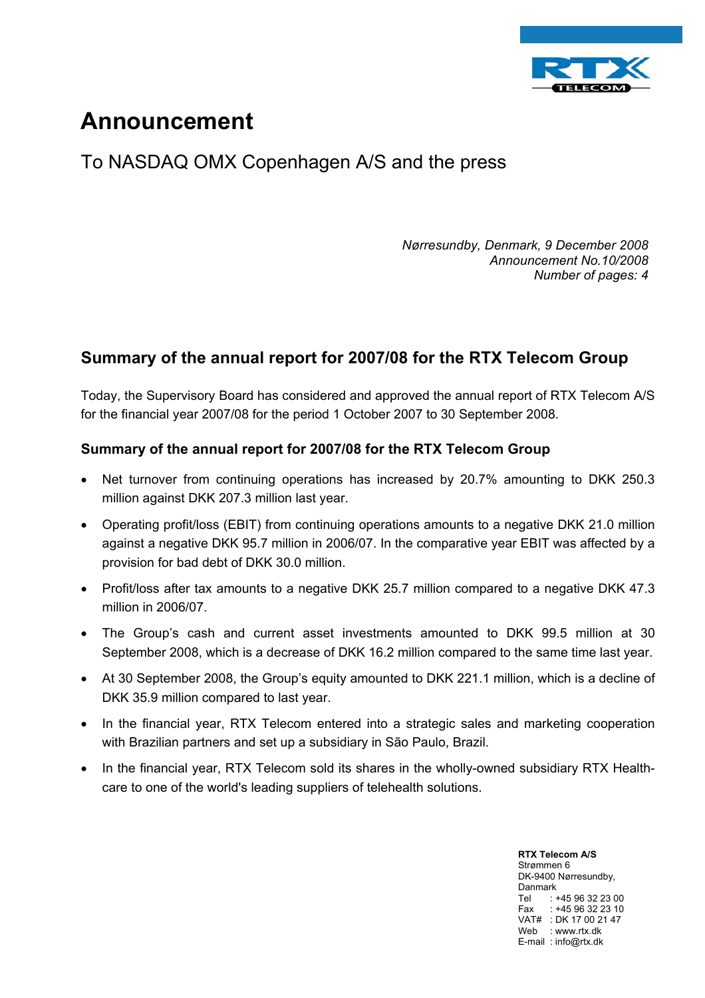

# **Announcement**

## To NASDAQ OMX Copenhagen A/S and the press

*Nørresundby, Denmark, 9 December 2008 Announcement No.10/2008 Number of pages: 4* 

### **Summary of the annual report for 2007/08 for the RTX Telecom Group**

Today, the Supervisory Board has considered and approved the annual report of RTX Telecom A/S for the financial year 2007/08 for the period 1 October 2007 to 30 September 2008.

#### **Summary of the annual report for 2007/08 for the RTX Telecom Group**

- Net turnover from continuing operations has increased by 20.7% amounting to DKK 250.3 million against DKK 207.3 million last year.
- Operating profit/loss (EBIT) from continuing operations amounts to a negative DKK 21.0 million against a negative DKK 95.7 million in 2006/07. In the comparative year EBIT was affected by a provision for bad debt of DKK 30.0 million.
- Profit/loss after tax amounts to a negative DKK 25.7 million compared to a negative DKK 47.3 million in 2006/07.
- The Group's cash and current asset investments amounted to DKK 99.5 million at 30 September 2008, which is a decrease of DKK 16.2 million compared to the same time last year.
- At 30 September 2008, the Group's equity amounted to DKK 221.1 million, which is a decline of DKK 35.9 million compared to last year.
- In the financial year, RTX Telecom entered into a strategic sales and marketing cooperation with Brazilian partners and set up a subsidiary in São Paulo, Brazil.
- In the financial year, RTX Telecom sold its shares in the wholly-owned subsidiary RTX Healthcare to one of the world's leading suppliers of telehealth solutions.

**RTX Telecom A/S** Strømmen 6 DK-9400 Nørresundby, Danmark Tel : +45 96 32 23 00 Fax  $+4596322310$ VAT# : DK 17 00 21 47 Web : www.rtx.dk E-mail : info@rtx.dk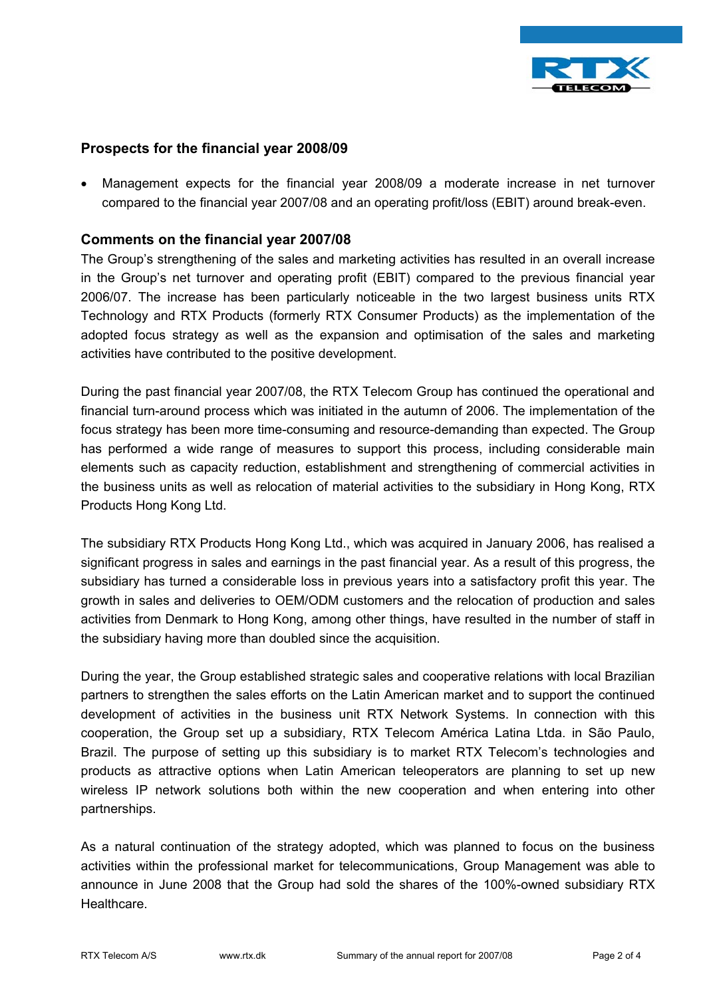

#### **Prospects for the financial year 2008/09**

• Management expects for the financial year 2008/09 a moderate increase in net turnover compared to the financial year 2007/08 and an operating profit/loss (EBIT) around break-even.

#### **Comments on the financial year 2007/08**

The Group's strengthening of the sales and marketing activities has resulted in an overall increase in the Group's net turnover and operating profit (EBIT) compared to the previous financial year 2006/07. The increase has been particularly noticeable in the two largest business units RTX Technology and RTX Products (formerly RTX Consumer Products) as the implementation of the adopted focus strategy as well as the expansion and optimisation of the sales and marketing activities have contributed to the positive development.

During the past financial year 2007/08, the RTX Telecom Group has continued the operational and financial turn-around process which was initiated in the autumn of 2006. The implementation of the focus strategy has been more time-consuming and resource-demanding than expected. The Group has performed a wide range of measures to support this process, including considerable main elements such as capacity reduction, establishment and strengthening of commercial activities in the business units as well as relocation of material activities to the subsidiary in Hong Kong, RTX Products Hong Kong Ltd.

The subsidiary RTX Products Hong Kong Ltd., which was acquired in January 2006, has realised a significant progress in sales and earnings in the past financial year. As a result of this progress, the subsidiary has turned a considerable loss in previous years into a satisfactory profit this year. The growth in sales and deliveries to OEM/ODM customers and the relocation of production and sales activities from Denmark to Hong Kong, among other things, have resulted in the number of staff in the subsidiary having more than doubled since the acquisition.

During the year, the Group established strategic sales and cooperative relations with local Brazilian partners to strengthen the sales efforts on the Latin American market and to support the continued development of activities in the business unit RTX Network Systems. In connection with this cooperation, the Group set up a subsidiary, RTX Telecom América Latina Ltda. in São Paulo, Brazil. The purpose of setting up this subsidiary is to market RTX Telecom's technologies and products as attractive options when Latin American teleoperators are planning to set up new wireless IP network solutions both within the new cooperation and when entering into other partnerships.

As a natural continuation of the strategy adopted, which was planned to focus on the business activities within the professional market for telecommunications, Group Management was able to announce in June 2008 that the Group had sold the shares of the 100%-owned subsidiary RTX Healthcare.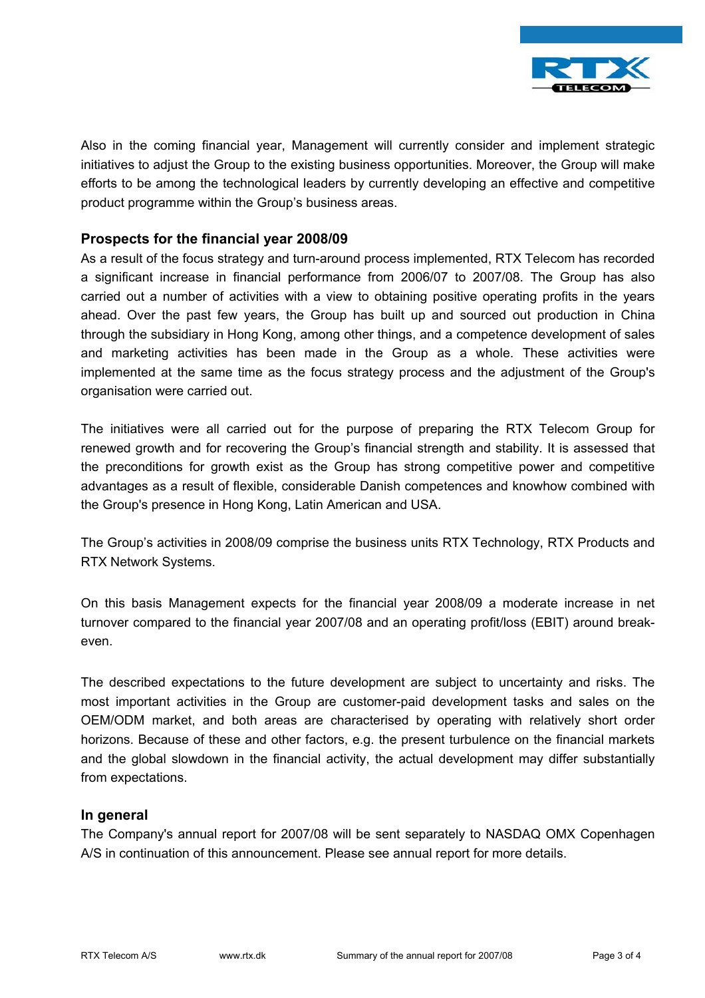

Also in the coming financial year, Management will currently consider and implement strategic initiatives to adjust the Group to the existing business opportunities. Moreover, the Group will make efforts to be among the technological leaders by currently developing an effective and competitive product programme within the Group's business areas.

#### **Prospects for the financial year 2008/09**

As a result of the focus strategy and turn-around process implemented, RTX Telecom has recorded a significant increase in financial performance from 2006/07 to 2007/08. The Group has also carried out a number of activities with a view to obtaining positive operating profits in the years ahead. Over the past few years, the Group has built up and sourced out production in China through the subsidiary in Hong Kong, among other things, and a competence development of sales and marketing activities has been made in the Group as a whole. These activities were implemented at the same time as the focus strategy process and the adjustment of the Group's organisation were carried out.

The initiatives were all carried out for the purpose of preparing the RTX Telecom Group for renewed growth and for recovering the Group's financial strength and stability. It is assessed that the preconditions for growth exist as the Group has strong competitive power and competitive advantages as a result of flexible, considerable Danish competences and knowhow combined with the Group's presence in Hong Kong, Latin American and USA.

The Group's activities in 2008/09 comprise the business units RTX Technology, RTX Products and RTX Network Systems.

On this basis Management expects for the financial year 2008/09 a moderate increase in net turnover compared to the financial year 2007/08 and an operating profit/loss (EBIT) around breakeven.

The described expectations to the future development are subject to uncertainty and risks. The most important activities in the Group are customer-paid development tasks and sales on the OEM/ODM market, and both areas are characterised by operating with relatively short order horizons. Because of these and other factors, e.g. the present turbulence on the financial markets and the global slowdown in the financial activity, the actual development may differ substantially from expectations.

#### **In general**

The Company's annual report for 2007/08 will be sent separately to NASDAQ OMX Copenhagen A/S in continuation of this announcement. Please see annual report for more details.